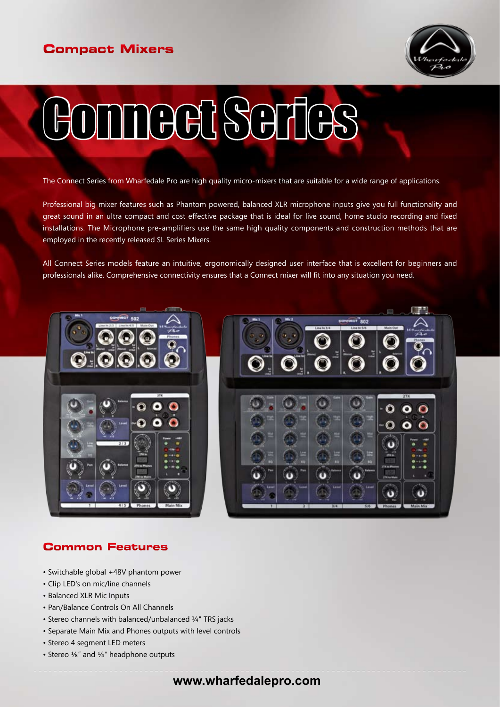# **Compact Mixers**



# Connect Series

The Connect Series from Wharfedale Pro are high quality micro-mixers that are suitable for a wide range of applications.

Professional big mixer features such as Phantom powered, balanced XLR microphone inputs give you full functionality and great sound in an ultra compact and cost effective package that is ideal for live sound, home studio recording and fixed installations. The Microphone pre-amplifiers use the same high quality components and construction methods that are employed in the recently released SL Series Mixers.

All Connect Series models feature an intuitive, ergonomically designed user interface that is excellent for beginners and professionals alike. Comprehensive connectivity ensures that a Connect mixer will fit into any situation you need.





# **Common Features**

- Switchable global +48V phantom power
- Clip LED's on mic/line channels
- Balanced XLR Mic Inputs
- Pan/Balance Controls On All Channels
- Stereo channels with balanced/unbalanced ¼" TRS jacks
- Separate Main Mix and Phones outputs with level controls
- Stereo 4 segment LED meters
- Stereo 1/8" and 1/4" headphone outputs

# **www.wharfedalepro.com**